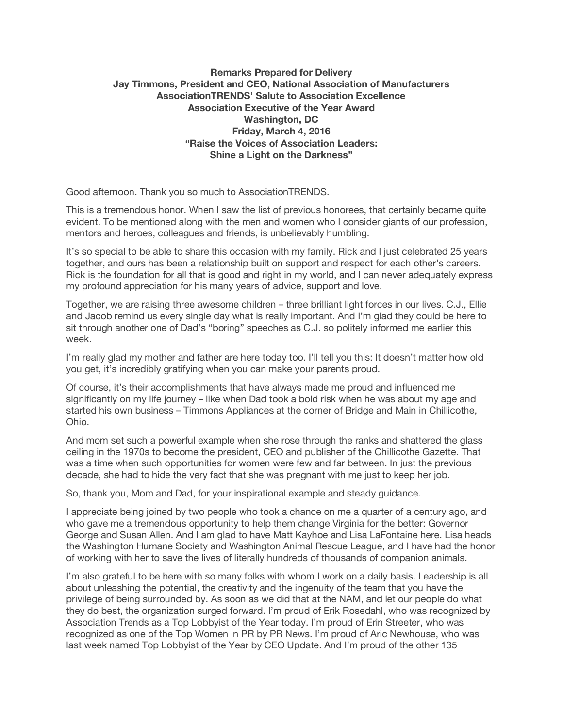## **Remarks Prepared for Delivery Jay Timmons, President and CEO, National Association of Manufacturers AssociationTRENDS' Salute to Association Excellence Association Executive of the Year Award Washington, DC Friday, March 4, 2016 "Raise the Voices of Association Leaders: Shine a Light on the Darkness"**

Good afternoon. Thank you so much to AssociationTRENDS.

This is a tremendous honor. When I saw the list of previous honorees, that certainly became quite evident. To be mentioned along with the men and women who I consider giants of our profession, mentors and heroes, colleagues and friends, is unbelievably humbling.

It's so special to be able to share this occasion with my family. Rick and I just celebrated 25 years together, and ours has been a relationship built on support and respect for each other's careers. Rick is the foundation for all that is good and right in my world, and I can never adequately express my profound appreciation for his many years of advice, support and love.

Together, we are raising three awesome children – three brilliant light forces in our lives. C.J., Ellie and Jacob remind us every single day what is really important. And I'm glad they could be here to sit through another one of Dad's "boring" speeches as C.J. so politely informed me earlier this week.

I'm really glad my mother and father are here today too. I'll tell you this: It doesn't matter how old you get, it's incredibly gratifying when you can make your parents proud.

Of course, it's their accomplishments that have always made me proud and influenced me significantly on my life journey – like when Dad took a bold risk when he was about my age and started his own business – Timmons Appliances at the corner of Bridge and Main in Chillicothe, Ohio.

And mom set such a powerful example when she rose through the ranks and shattered the glass ceiling in the 1970s to become the president, CEO and publisher of the Chillicothe Gazette. That was a time when such opportunities for women were few and far between. In just the previous decade, she had to hide the very fact that she was pregnant with me just to keep her job.

So, thank you, Mom and Dad, for your inspirational example and steady guidance.

I appreciate being joined by two people who took a chance on me a quarter of a century ago, and who gave me a tremendous opportunity to help them change Virginia for the better: Governor George and Susan Allen. And I am glad to have Matt Kayhoe and Lisa LaFontaine here. Lisa heads the Washington Humane Society and Washington Animal Rescue League, and I have had the honor of working with her to save the lives of literally hundreds of thousands of companion animals.

I'm also grateful to be here with so many folks with whom I work on a daily basis. Leadership is all about unleashing the potential, the creativity and the ingenuity of the team that you have the privilege of being surrounded by. As soon as we did that at the NAM, and let our people do what they do best, the organization surged forward. I'm proud of Erik Rosedahl, who was recognized by Association Trends as a Top Lobbyist of the Year today. I'm proud of Erin Streeter, who was recognized as one of the Top Women in PR by PR News. I'm proud of Aric Newhouse, who was last week named Top Lobbyist of the Year by CEO Update. And I'm proud of the other 135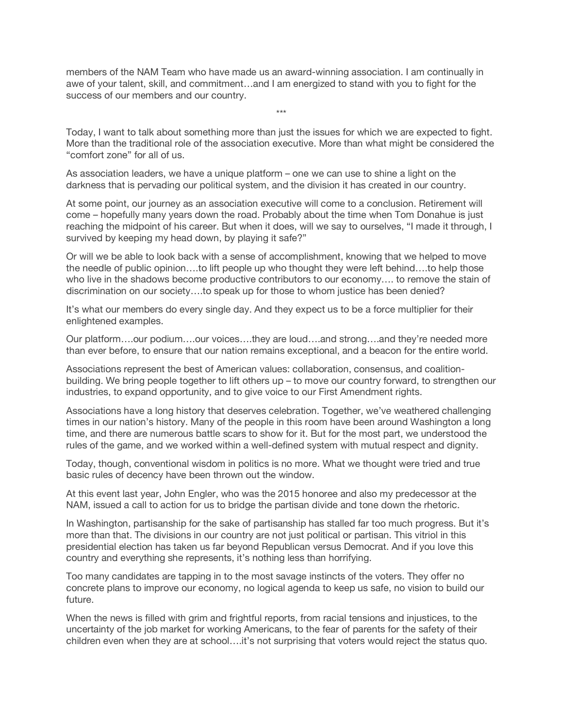members of the NAM Team who have made us an award-winning association. I am continually in awe of your talent, skill, and commitment…and I am energized to stand with you to fight for the success of our members and our country.

Today, I want to talk about something more than just the issues for which we are expected to fight. More than the traditional role of the association executive. More than what might be considered the "comfort zone" for all of us.

\*\*\*

As association leaders, we have a unique platform – one we can use to shine a light on the darkness that is pervading our political system, and the division it has created in our country.

At some point, our journey as an association executive will come to a conclusion. Retirement will come – hopefully many years down the road. Probably about the time when Tom Donahue is just reaching the midpoint of his career. But when it does, will we say to ourselves, "I made it through, I survived by keeping my head down, by playing it safe?"

Or will we be able to look back with a sense of accomplishment, knowing that we helped to move the needle of public opinion….to lift people up who thought they were left behind….to help those who live in the shadows become productive contributors to our economy…. to remove the stain of discrimination on our society….to speak up for those to whom justice has been denied?

It's what our members do every single day. And they expect us to be a force multiplier for their enlightened examples.

Our platform….our podium….our voices….they are loud….and strong….and they're needed more than ever before, to ensure that our nation remains exceptional, and a beacon for the entire world.

Associations represent the best of American values: collaboration, consensus, and coalitionbuilding. We bring people together to lift others up – to move our country forward, to strengthen our industries, to expand opportunity, and to give voice to our First Amendment rights.

Associations have a long history that deserves celebration. Together, we've weathered challenging times in our nation's history. Many of the people in this room have been around Washington a long time, and there are numerous battle scars to show for it. But for the most part, we understood the rules of the game, and we worked within a well-defined system with mutual respect and dignity.

Today, though, conventional wisdom in politics is no more. What we thought were tried and true basic rules of decency have been thrown out the window.

At this event last year, John Engler, who was the 2015 honoree and also my predecessor at the NAM, issued a call to action for us to bridge the partisan divide and tone down the rhetoric.

In Washington, partisanship for the sake of partisanship has stalled far too much progress. But it's more than that. The divisions in our country are not just political or partisan. This vitriol in this presidential election has taken us far beyond Republican versus Democrat. And if you love this country and everything she represents, it's nothing less than horrifying.

Too many candidates are tapping in to the most savage instincts of the voters. They offer no concrete plans to improve our economy, no logical agenda to keep us safe, no vision to build our future.

When the news is filled with grim and frightful reports, from racial tensions and injustices, to the uncertainty of the job market for working Americans, to the fear of parents for the safety of their children even when they are at school….it's not surprising that voters would reject the status quo.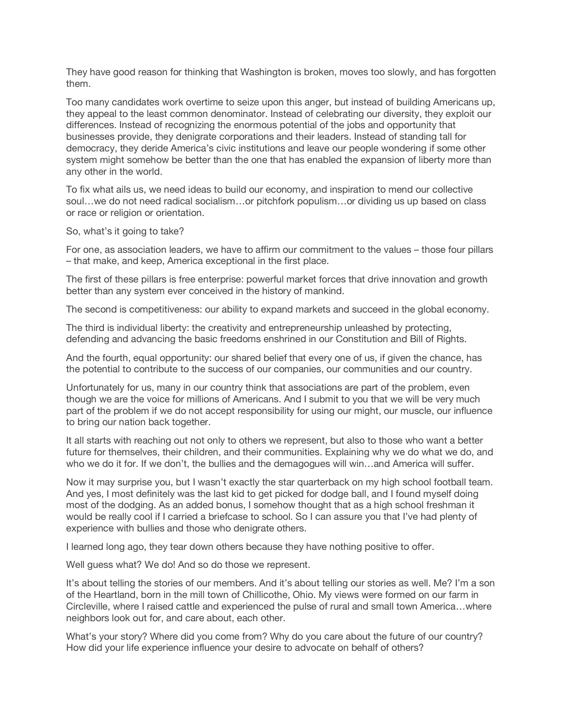They have good reason for thinking that Washington is broken, moves too slowly, and has forgotten them.

Too many candidates work overtime to seize upon this anger, but instead of building Americans up, they appeal to the least common denominator. Instead of celebrating our diversity, they exploit our differences. Instead of recognizing the enormous potential of the jobs and opportunity that businesses provide, they denigrate corporations and their leaders. Instead of standing tall for democracy, they deride America's civic institutions and leave our people wondering if some other system might somehow be better than the one that has enabled the expansion of liberty more than any other in the world.

To fix what ails us, we need ideas to build our economy, and inspiration to mend our collective soul…we do not need radical socialism…or pitchfork populism…or dividing us up based on class or race or religion or orientation.

So, what's it going to take?

For one, as association leaders, we have to affirm our commitment to the values – those four pillars – that make, and keep, America exceptional in the first place.

The first of these pillars is free enterprise: powerful market forces that drive innovation and growth better than any system ever conceived in the history of mankind.

The second is competitiveness: our ability to expand markets and succeed in the global economy.

The third is individual liberty: the creativity and entrepreneurship unleashed by protecting, defending and advancing the basic freedoms enshrined in our Constitution and Bill of Rights.

And the fourth, equal opportunity: our shared belief that every one of us, if given the chance, has the potential to contribute to the success of our companies, our communities and our country.

Unfortunately for us, many in our country think that associations are part of the problem, even though we are the voice for millions of Americans. And I submit to you that we will be very much part of the problem if we do not accept responsibility for using our might, our muscle, our influence to bring our nation back together.

It all starts with reaching out not only to others we represent, but also to those who want a better future for themselves, their children, and their communities. Explaining why we do what we do, and who we do it for. If we don't, the bullies and the demagogues will win...and America will suffer.

Now it may surprise you, but I wasn't exactly the star quarterback on my high school football team. And yes, I most definitely was the last kid to get picked for dodge ball, and I found myself doing most of the dodging. As an added bonus, I somehow thought that as a high school freshman it would be really cool if I carried a briefcase to school. So I can assure you that I've had plenty of experience with bullies and those who denigrate others.

I learned long ago, they tear down others because they have nothing positive to offer.

Well guess what? We do! And so do those we represent.

It's about telling the stories of our members. And it's about telling our stories as well. Me? I'm a son of the Heartland, born in the mill town of Chillicothe, Ohio. My views were formed on our farm in Circleville, where I raised cattle and experienced the pulse of rural and small town America…where neighbors look out for, and care about, each other.

What's your story? Where did you come from? Why do you care about the future of our country? How did your life experience influence your desire to advocate on behalf of others?